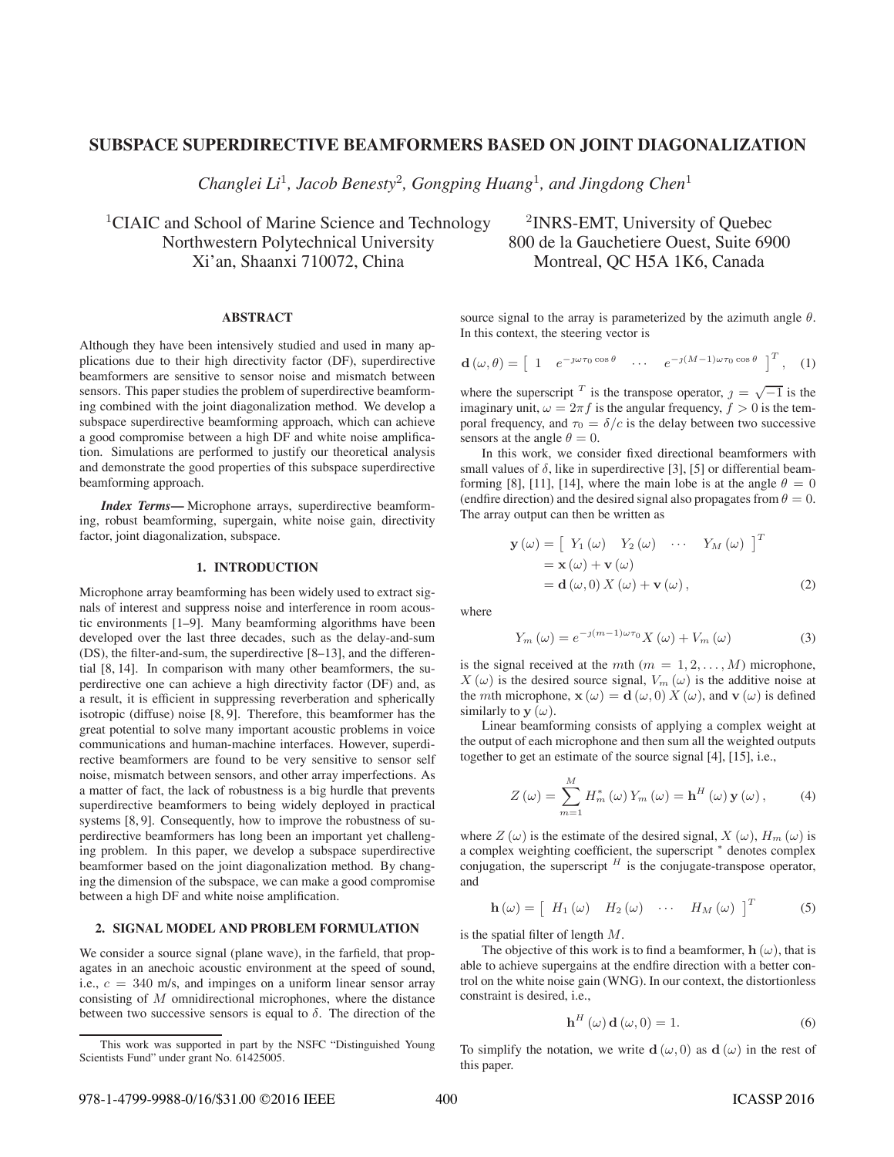# **SUBSPACE SUPERDIRECTIVE BEAMFORMERS BASED ON JOINT DIAGONALIZATION**

*Changlei Li*<sup>1</sup>*, Jacob Benesty*<sup>2</sup>*, Gongping Huang*<sup>1</sup>*, and Jingdong Chen*<sup>1</sup>

<sup>1</sup>CIAIC and School of Marine Science and Technology  $\frac{2}{NRS-EMT}$ , University of Quebec Northwestern Polytechnical University 800 de la Gauchetiere Ouest, Suite 6900 Xi'an, Shaanxi 710072, China Montreal, QC H5A 1K6, Canada

#### **ABSTRACT**

Although they have been intensively studied and used in many applications due to their high directivity factor (DF), superdirective beamformers are sensitive to sensor noise and mismatch between sensors. This paper studies the problem of superdirective beamforming combined with the joint diagonalization method. We develop a subspace superdirective beamforming approach, which can achieve a good compromise between a high DF and white noise amplification. Simulations are performed to justify our theoretical analysis and demonstrate the good properties of this subspace superdirective beamforming approach.

*Index Terms***—** Microphone arrays, superdirective beamforming, robust beamforming, supergain, white noise gain, directivity factor, joint diagonalization, subspace.

## **1. INTRODUCTION**

Microphone array beamforming has been widely used to extract signals of interest and suppress noise and interference in room acoustic environments [1–9]. Many beamforming algorithms have been developed over the last three decades, such as the delay-and-sum (DS), the filter-and-sum, the superdirective [8–13], and the differential [8, 14]. In comparison with many other beamformers, the superdirective one can achieve a high directivity factor (DF) and, as a result, it is efficient in suppressing reverberation and spherically isotropic (diffuse) noise [8, 9]. Therefore, this beamformer has the great potential to solve many important acoustic problems in voice communications and human-machine interfaces. However, superdirective beamformers are found to be very sensitive to sensor self noise, mismatch between sensors, and other array imperfections. As a matter of fact, the lack of robustness is a big hurdle that prevents superdirective beamformers to being widely deployed in practical systems [8, 9]. Consequently, how to improve the robustness of superdirective beamformers has long been an important yet challenging problem. In this paper, we develop a subspace superdirective beamformer based on the joint diagonalization method. By changing the dimension of the subspace, we can make a good compromise between a high DF and white noise amplification.

#### **2. SIGNAL MODEL AND PROBLEM FORMULATION**

We consider a source signal (plane wave), in the farfield, that propagates in an anechoic acoustic environment at the speed of sound, i.e.,  $c = 340$  m/s, and impinges on a uniform linear sensor array consisting of M omnidirectional microphones, where the distance between two successive sensors is equal to  $\delta$ . The direction of the

source signal to the array is parameterized by the azimuth angle  $\theta$ . In this context, the steering vector is

$$
\mathbf{d}\left(\omega,\theta\right) = \begin{bmatrix} 1 & e^{-j\omega\tau_0\cos\theta} & \cdots & e^{-j(M-1)\omega\tau_0\cos\theta} \end{bmatrix}^T, \quad (1)
$$

where the superscript <sup>T</sup> is the transpose operator,  $j = \sqrt{-1}$  is the imaginary unit,  $\omega = 2\pi f$  is the angular frequency,  $f > 0$  is the temporal frequency, and  $\tau_0 = \delta/c$  is the delay between two successive sensors at the angle  $\theta = 0$ .

In this work, we consider fixed directional beamformers with small values of  $\delta$ , like in superdirective [3], [5] or differential beamforming [8], [11], [14], where the main lobe is at the angle  $\theta = 0$ (endfire direction) and the desired signal also propagates from  $\theta = 0$ . The array output can then be written as

$$
\mathbf{y}(\omega) = \begin{bmatrix} Y_1(\omega) & Y_2(\omega) & \cdots & Y_M(\omega) \end{bmatrix}^T
$$
  
=  $\mathbf{x}(\omega) + \mathbf{v}(\omega)$   
=  $\mathbf{d}(\omega, 0) X(\omega) + \mathbf{v}(\omega)$ , (2)

where

$$
Y_m(\omega) = e^{-\jmath(m-1)\omega\tau_0} X(\omega) + V_m(\omega)
$$
\n(3)

is the signal received at the mth  $(m = 1, 2, \ldots, M)$  microphone,  $X(\omega)$  is the desired source signal,  $V_m(\omega)$  is the additive noise at the *mth* microphone,  $\mathbf{x}(\omega) = \mathbf{d}(\omega, 0) X(\omega)$ , and  $\mathbf{v}(\omega)$  is defined similarly to  $y(\omega)$ .

Linear beamforming consists of applying a complex weight at the output of each microphone and then sum all the weighted outputs together to get an estimate of the source signal [4], [15], i.e.,

$$
Z(\omega) = \sum_{m=1}^{M} H_m^*(\omega) Y_m(\omega) = \mathbf{h}^H(\omega) \mathbf{y}(\omega), \quad (4)
$$

where  $Z(\omega)$  is the estimate of the desired signal,  $X(\omega)$ ,  $H_m(\omega)$  is a complex weighting coefficient, the superscript  $*$  denotes complex conjugation, the superscript  $H$  is the conjugate-transpose operator, and

$$
\mathbf{h}\left(\omega\right) = \left[\begin{array}{cccc} H_1\left(\omega\right) & H_2\left(\omega\right) & \cdots & H_M\left(\omega\right)\end{array}\right]^T\tag{5}
$$

is the spatial filter of length  $M$ .

The objective of this work is to find a beamformer,  $h(\omega)$ , that is able to achieve supergains at the endfire direction with a better control on the white noise gain (WNG). In our context, the distortionless constraint is desired, i.e.,

$$
\mathbf{h}^{H}(\omega)\,\mathbf{d}(\omega,0) = 1. \tag{6}
$$

To simplify the notation, we write **d**  $(\omega, 0)$  as **d**  $(\omega)$  in the rest of this paper.

This work was supported in part by the NSFC "Distinguished Young Scientists Fund" under grant No. 61425005.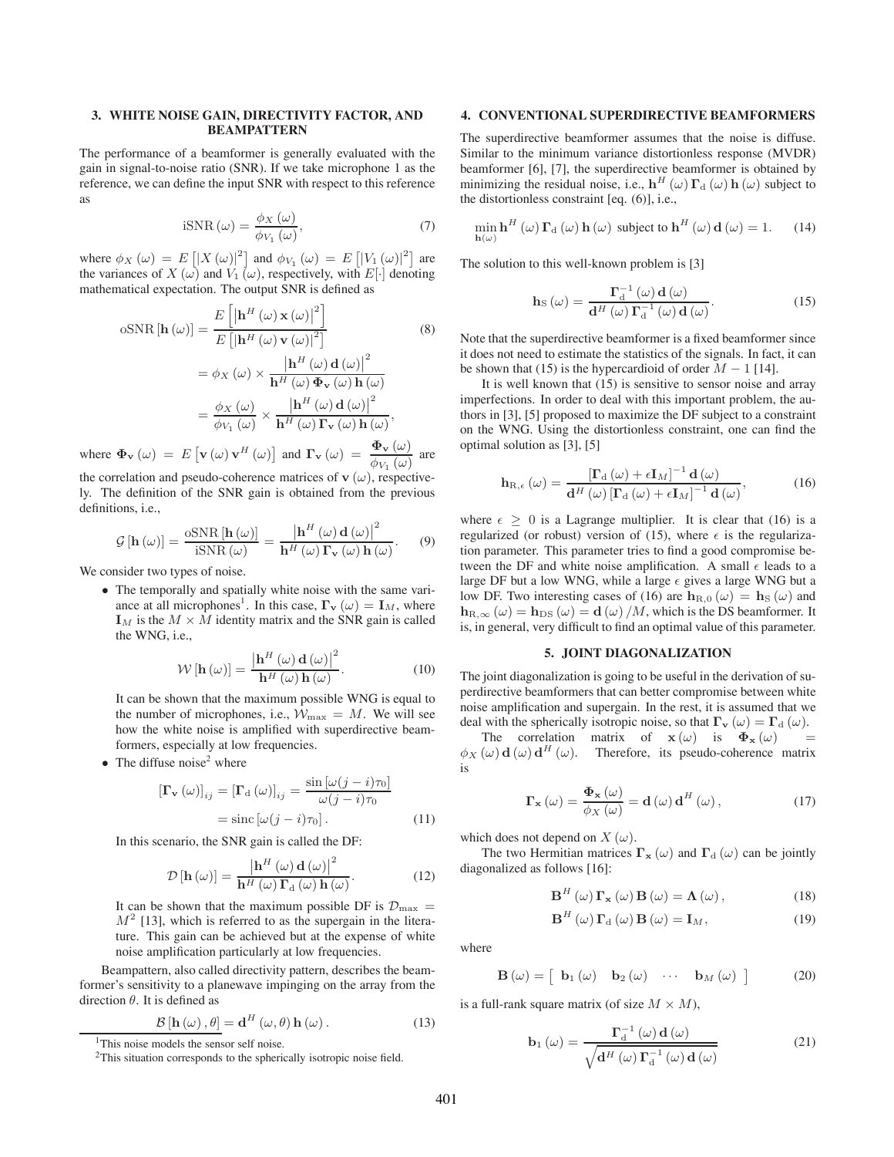# **3. WHITE NOISE GAIN, DIRECTIVITY FACTOR, AND BEAMPATTERN**

The performance of a beamformer is generally evaluated with the gain in signal-to-noise ratio (SNR). If we take microphone 1 as the reference, we can define the input SNR with respect to this reference as

$$
iSNR\left(\omega\right) = \frac{\phi_X\left(\omega\right)}{\phi_{V_1}\left(\omega\right)},\tag{7}
$$

where  $\phi_X(\omega) = E\left[ |X(\omega)|^2 \right]$  and  $\phi_{V_1}(\omega) = E\left[ |V_1(\omega)|^2 \right]$  are the variances of  $X(\omega)$  and  $V_1(\omega)$ , respectively, with  $E[\cdot]$  denoting mathematical expectation. The output SNR is defined as

$$
\text{oSNR}[\mathbf{h}(\omega)] = \frac{E\left[\left|\mathbf{h}^H(\omega) \mathbf{x}(\omega)\right|^2\right]}{E\left[\left|\mathbf{h}^H(\omega) \mathbf{v}(\omega)\right|^2\right]} \tag{8}
$$
\n
$$
= \phi_X(\omega) \times \frac{\left|\mathbf{h}^H(\omega) \mathbf{d}(\omega)\right|^2}{\mathbf{h}^H(\omega) \Phi_Y(\omega) \mathbf{h}(\omega)}
$$
\n
$$
= \frac{\phi_X(\omega)}{\phi_{V_1}(\omega)} \times \frac{\left|\mathbf{h}^H(\omega) \mathbf{d}(\omega)\right|^2}{\mathbf{h}^H(\omega) \Gamma_Y(\omega) \mathbf{h}(\omega)}, \tag{8}
$$

where  $\Phi_{\mathbf{v}} (\omega) = E [\mathbf{v} (\omega) \mathbf{v}^H (\omega)]$  and  $\mathbf{\Gamma}_{\mathbf{v}} (\omega) = \frac{\Phi_{\mathbf{v}} (\omega)}{\phi_{V_1} (\omega)}$  are the correlation and pseudo-coherence matrices of  $\mathbf{v}(\omega)$ , respective-

ly. The definition of the SNR gain is obtained from the previous definitions, i.e.,

$$
\mathcal{G}\left[\mathbf{h}\left(\omega\right)\right] = \frac{\text{6SNR}\left[\mathbf{h}\left(\omega\right)\right]}{\text{iSNR}\left(\omega\right)} = \frac{\left|\mathbf{h}^H\left(\omega\right)\mathbf{d}\left(\omega\right)\right|^2}{\mathbf{h}^H\left(\omega\right)\mathbf{\Gamma_v}\left(\omega\right)\mathbf{h}\left(\omega\right)}.\tag{9}
$$

We consider two types of noise.

• The temporally and spatially white noise with the same variance at all microphones<sup>1</sup>. In this case,  $\mathbf{\Gamma}_{\mathbf{v}}(\omega) = \mathbf{I}_M$ , where  $\mathbf{I}_M$  is the  $M \times M$  identity matrix and the SNR gain is called the WNG, i.e.,

$$
\mathcal{W}\left[\mathbf{h}\left(\omega\right)\right] = \frac{\left|\mathbf{h}^{H}\left(\omega\right)\mathbf{d}\left(\omega\right)\right|^{2}}{\mathbf{h}^{H}\left(\omega\right)\mathbf{h}\left(\omega\right)}.\tag{10}
$$

It can be shown that the maximum possible WNG is equal to the number of microphones, i.e.,  $\mathcal{W}_{\text{max}} = M$ . We will see how the white noise is amplified with superdirective beamformers, especially at low frequencies.

• The diffuse noise<sup>2</sup> where

$$
\left[\mathbf{\Gamma}_{\mathbf{v}}\left(\omega\right)\right]_{ij} = \left[\mathbf{\Gamma}_{\mathbf{d}}\left(\omega\right)\right]_{ij} = \frac{\sin\left[\omega(j-i)\tau_0\right]}{\omega(j-i)\tau_0}
$$

$$
= \text{sinc}\left[\omega(j-i)\tau_0\right].\tag{11}
$$

In this scenario, the SNR gain is called the DF:

$$
\mathcal{D}\left[\mathbf{h}\left(\omega\right)\right] = \frac{\left|\mathbf{h}^{H}\left(\omega\right)\mathbf{d}\left(\omega\right)\right|^{2}}{\mathbf{h}^{H}\left(\omega\right)\mathbf{\Gamma}_{\mathrm{d}}\left(\omega\right)\mathbf{h}\left(\omega\right)}.\tag{12}
$$

It can be shown that the maximum possible DF is  $\mathcal{D}_{\text{max}} =$  $M<sup>2</sup>$  [13], which is referred to as the supergain in the literature. This gain can be achieved but at the expense of white noise amplification particularly at low frequencies.

Beampattern, also called directivity pattern, describes the beamformer's sensitivity to a planewave impinging on the array from the direction  $\theta$ . It is defined as

$$
\mathcal{B}\left[\mathbf{h}\left(\omega\right),\theta\right] = \mathbf{d}^H\left(\omega,\theta\right)\mathbf{h}\left(\omega\right). \tag{13}
$$

#### **4. CONVENTIONAL SUPERDIRECTIVE BEAMFORMERS**

The superdirective beamformer assumes that the noise is diffuse. Similar to the minimum variance distortionless response (MVDR) beamformer [6], [7], the superdirective beamformer is obtained by minimizing the residual noise, i.e.,  $\mathbf{h}^H(\omega) \mathbf{\Gamma}_d(\omega) \mathbf{h}(\omega)$  subject to the distortionless constraint [eq. (6)], i.e.,

$$
\min_{\mathbf{h}(\omega)} \mathbf{h}^{H}(\omega) \, \mathbf{\Gamma}_{\mathrm{d}}(\omega) \, \mathbf{h}(\omega) \text{ subject to } \mathbf{h}^{H}(\omega) \, \mathbf{d}(\omega) = 1. \qquad (14)
$$

The solution to this well-known problem is [3]

$$
\mathbf{h}_{\mathrm{S}}\left(\omega\right) = \frac{\Gamma_{\mathrm{d}}^{-1}\left(\omega\right)\mathbf{d}\left(\omega\right)}{\mathbf{d}^{H}\left(\omega\right)\Gamma_{\mathrm{d}}^{-1}\left(\omega\right)\mathbf{d}\left(\omega\right)}.\tag{15}
$$

Note that the superdirective beamformer is a fixed beamformer since it does not need to estimate the statistics of the signals. In fact, it can be shown that (15) is the hypercardioid of order  $M - 1$  [14].

It is well known that (15) is sensitive to sensor noise and array imperfections. In order to deal with this important problem, the authors in [3], [5] proposed to maximize the DF subject to a constraint on the WNG. Using the distortionless constraint, one can find the optimal solution as [3], [5]

$$
\mathbf{h}_{\mathrm{R},\epsilon}\left(\omega\right) = \frac{\left[\mathbf{\Gamma}_{\mathrm{d}}\left(\omega\right) + \epsilon\mathbf{I}_{M}\right]^{-1}\mathbf{d}\left(\omega\right)}{\mathbf{d}^{H}\left(\omega\right)\left[\mathbf{\Gamma}_{\mathrm{d}}\left(\omega\right) + \epsilon\mathbf{I}_{M}\right]^{-1}\mathbf{d}\left(\omega\right)},\tag{16}
$$

where  $\epsilon \geq 0$  is a Lagrange multiplier. It is clear that (16) is a regularized (or robust) version of (15), where  $\epsilon$  is the regularization parameter. This parameter tries to find a good compromise between the DF and white noise amplification. A small  $\epsilon$  leads to a large DF but a low WNG, while a large  $\epsilon$  gives a large WNG but a low DF. Two interesting cases of (16) are  $h_{R,0}(\omega) = h_S(\omega)$  and  $h_{\text{R},\infty}(\omega) = h_{\text{DS}}(\omega) = d(\omega) / M$ , which is the DS beamformer. It is, in general, very difficult to find an optimal value of this parameter.

## **5. JOINT DIAGONALIZATION**

The joint diagonalization is going to be useful in the derivation of superdirective beamformers that can better compromise between white noise amplification and supergain. In the rest, it is assumed that we deal with the spherically isotropic noise, so that  $\Gamma$ **v** ( $\omega$ ) =  $\Gamma$ <sup>d</sup> ( $\omega$ ).

The correlation matrix of  $\mathbf{x}(\omega)$  is  $\Phi_{\mathbf{x}}(\omega)$  =  $\phi_X(\omega) d(\omega) d^H(\omega)$ . Therefore, its pseudo-coherence matrix is

$$
\Gamma_{\mathbf{x}}\left(\omega\right) = \frac{\Phi_{\mathbf{x}}\left(\omega\right)}{\phi_{X}\left(\omega\right)} = \mathbf{d}\left(\omega\right) \mathbf{d}^{H}\left(\omega\right),\tag{17}
$$

which does not depend on  $X(\omega)$ .

The two Hermitian matrices  $\Gamma$ **x** ( $\omega$ ) and  $\Gamma$ <sup>d</sup> ( $\omega$ ) can be jointly diagonalized as follows [16]:

$$
\mathbf{B}^{H}(\omega)\,\mathbf{\Gamma}_{\mathbf{x}}\left(\omega\right)\mathbf{B}\left(\omega\right)=\mathbf{\Lambda}\left(\omega\right),\tag{18}
$$

$$
\mathbf{B}^{H}(\omega)\,\mathbf{\Gamma}_{\mathrm{d}}\left(\omega\right)\mathbf{B}\left(\omega\right)=\mathbf{I}_{M},\tag{19}
$$

where

$$
\mathbf{B}\left(\omega\right) = \left[\begin{array}{cccc}\mathbf{b}_1\left(\omega\right) & \mathbf{b}_2\left(\omega\right) & \cdots & \mathbf{b}_M\left(\omega\right)\end{array}\right] \tag{20}
$$

is a full-rank square matrix (of size  $M \times M$ ),

$$
\mathbf{b}_{1}(\omega) = \frac{\Gamma_{d}^{-1}(\omega) \mathbf{d}(\omega)}{\sqrt{\mathbf{d}^{H}(\omega) \Gamma_{d}^{-1}(\omega) \mathbf{d}(\omega)}}
$$
(21)

<sup>&</sup>lt;sup>1</sup>This noise models the sensor self noise.

<sup>&</sup>lt;sup>2</sup>This situation corresponds to the spherically isotropic noise field.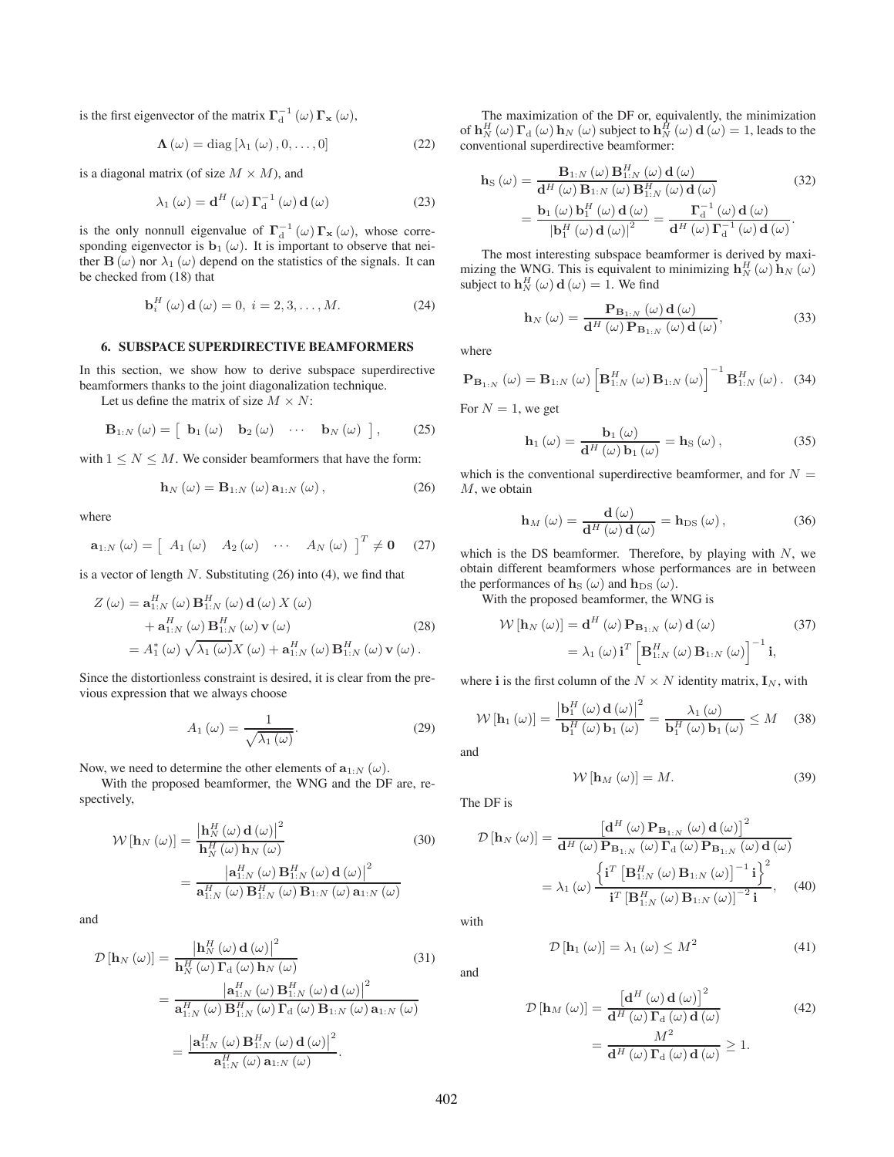is the first eigenvector of the matrix  $\mathbf{\Gamma}_{d}^{-1}(\omega) \mathbf{\Gamma}_{\mathbf{x}}(\omega)$ ,

$$
\Lambda\left(\omega\right) = \text{diag}\left[\lambda_1\left(\omega\right), 0, \ldots, 0\right] \tag{22}
$$

is a diagonal matrix (of size  $M \times M$ ), and

$$
\lambda_1(\omega) = \mathbf{d}^H(\omega) \, \mathbf{\Gamma}_d^{-1}(\omega) \, \mathbf{d}(\omega) \tag{23}
$$

is the only nonnull eigenvalue of  $\Gamma_d^{-1}(\omega) \Gamma_{\mathbf{x}}(\omega)$ , whose corresponding eigenvector is  $\mathbf{b}_1(\omega)$ . It is important to observe that neither  $\mathbf{B}(\omega)$  nor  $\lambda_1(\omega)$  depend on the statistics of the signals. It can be checked from (18) that

$$
\mathbf{b}_i^H\left(\omega\right)\mathbf{d}\left(\omega\right) = 0, \ i = 2, 3, \dots, M. \tag{24}
$$

#### **6. SUBSPACE SUPERDIRECTIVE BEAMFORMERS**

In this section, we show how to derive subspace superdirective beamformers thanks to the joint diagonalization technique.

Let us define the matrix of size  $M \times N$ :

$$
\mathbf{B}_{1:N}(\omega) = \begin{bmatrix} \mathbf{b}_1(\omega) & \mathbf{b}_2(\omega) & \cdots & \mathbf{b}_N(\omega) \end{bmatrix}, \quad (25)
$$

with  $1 \leq N \leq M$ . We consider beamformers that have the form:

$$
\mathbf{h}_{N}\left(\omega\right) = \mathbf{B}_{1:N}\left(\omega\right)\mathbf{a}_{1:N}\left(\omega\right),\tag{26}
$$

where

$$
\mathbf{a}_{1:N}(\omega) = \begin{bmatrix} A_1(\omega) & A_2(\omega) & \cdots & A_N(\omega) \end{bmatrix}^T \neq \mathbf{0} \quad (27)
$$

is a vector of length  $N$ . Substituting  $(26)$  into  $(4)$ , we find that

$$
Z(\omega) = \mathbf{a}_{1:N}^{H}(\omega) \mathbf{B}_{1:N}^{H}(\omega) \mathbf{d}(\omega) X(\omega)
$$
  
+  $\mathbf{a}_{1:N}^{H}(\omega) \mathbf{B}_{1:N}^{H}(\omega) \mathbf{v}(\omega)$  (28)  
=  $A_{1}^{*}(\omega) \sqrt{\lambda_{1}(\omega)} X(\omega) + \mathbf{a}_{1:N}^{H}(\omega) \mathbf{B}_{1:N}^{H}(\omega) \mathbf{v}(\omega).$ 

Since the distortionless constraint is desired, it is clear from the previous expression that we always choose

$$
A_1(\omega) = \frac{1}{\sqrt{\lambda_1(\omega)}}.\tag{29}
$$

Now, we need to determine the other elements of  $\mathbf{a}_{1:N}(\omega)$ .

With the proposed beamformer, the WNG and the DF are, respectively,

$$
\mathcal{W}\left[\mathbf{h}_{N}\left(\omega\right)\right] = \frac{\left|\mathbf{h}_{N}^{H}\left(\omega\right)\mathbf{d}\left(\omega\right)\right|^{2}}{\mathbf{h}_{N}^{H}\left(\omega\right)\mathbf{h}_{N}\left(\omega\right)} = \frac{\left|\mathbf{a}_{1:N}^{H}\left(\omega\right)\mathbf{B}_{1:N}^{H}\left(\omega\right)\mathbf{d}\left(\omega\right)\right|^{2}}{\mathbf{a}_{1:N}^{H}\left(\omega\right)\mathbf{B}_{1:N}^{H}\left(\omega\right)\mathbf{B}_{1:N}\left(\omega\right)\mathbf{a}_{1:N}\left(\omega\right)}
$$
(30)

and

$$
\mathcal{D}\left[\mathbf{h}_{N}\left(\omega\right)\right] = \frac{\left|\mathbf{h}_{N}^{H}\left(\omega\right)\mathbf{d}\left(\omega\right)\right|^{2}}{\mathbf{h}_{N}^{H}\left(\omega\right)\mathbf{\Gamma}_{\mathrm{d}}\left(\omega\right)\mathbf{h}_{N}\left(\omega\right)} \qquad (31)
$$
\n
$$
= \frac{\left|\mathbf{a}_{1:N}^{H}\left(\omega\right)\mathbf{B}_{1:N}^{H}\left(\omega\right)\mathbf{d}\left(\omega\right)\right|^{2}}{\mathbf{a}_{1:N}^{H}\left(\omega\right)\mathbf{B}_{1:N}^{H}\left(\omega\right)\mathbf{F}_{\mathrm{d}}\left(\omega\right)\mathbf{B}_{1:N}\left(\omega\right)\mathbf{a}_{1:N}\left(\omega\right)}
$$
\n
$$
= \frac{\left|\mathbf{a}_{1:N}^{H}\left(\omega\right)\mathbf{B}_{1:N}^{H}\left(\omega\right)\mathbf{d}\left(\omega\right)\right|^{2}}{\mathbf{a}_{1:N}^{H}\left(\omega\right)\mathbf{a}_{1:N}\left(\omega\right)}.
$$

The maximization of the DF or, equivalently, the minimization of  $\mathbf{h}_N^H(\omega) \mathbf{\Gamma}_{\mathrm{d}}(\omega) \mathbf{h}_N(\omega)$  subject to  $\mathbf{h}_N^{\hat{H}}(\omega) \mathbf{d}(\omega) = 1$ , leads to the conventional superdirective beamformer:

$$
\mathbf{h}_{\mathrm{S}}\left(\omega\right) = \frac{\mathbf{B}_{1:N}\left(\omega\right)\mathbf{B}_{1:N}^{H}\left(\omega\right)\mathbf{d}\left(\omega\right)}{\mathbf{d}^{H}\left(\omega\right)\mathbf{B}_{1:N}\left(\omega\right)\mathbf{B}_{1:N}^{H}\left(\omega\right)\mathbf{d}\left(\omega\right)}\n= \frac{\mathbf{b}_{1}\left(\omega\right)\mathbf{b}_{1}^{H}\left(\omega\right)\mathbf{d}\left(\omega\right)}{\left|\mathbf{b}_{1}^{H}\left(\omega\right)\mathbf{d}\left(\omega\right)\right|^{2}} = \frac{\mathbf{\Gamma}_{\mathrm{d}}^{-1}\left(\omega\right)\mathbf{d}\left(\omega\right)}{\mathbf{d}^{H}\left(\omega\right)\mathbf{\Gamma}_{\mathrm{d}}^{-1}\left(\omega\right)\mathbf{d}\left(\omega\right)}.\n\tag{32}
$$

The most interesting subspace beamformer is derived by maximizing the WNG. This is equivalent to minimizing  $\mathbf{h}_N^H(\omega) \mathbf{h}_N(\omega)$ subject to  $\mathbf{h}_N^H(\omega) \mathbf{d}(\omega) = 1$ . We find

$$
\mathbf{h}_{N}\left(\omega\right) = \frac{\mathbf{P}_{\mathbf{B}_{1:N}}\left(\omega\right)\mathbf{d}\left(\omega\right)}{\mathbf{d}^{H}\left(\omega\right)\mathbf{P}_{\mathbf{B}_{1:N}}\left(\omega\right)\mathbf{d}\left(\omega\right)},\tag{33}
$$

where

$$
\mathbf{P}_{\mathbf{B}_{1:N}}\left(\omega\right) = \mathbf{B}_{1:N}\left(\omega\right)\left[\mathbf{B}_{1:N}^{H}\left(\omega\right)\mathbf{B}_{1:N}\left(\omega\right)\right]^{-1}\mathbf{B}_{1:N}^{H}\left(\omega\right). (34)
$$

For  $N = 1$ , we get

$$
\mathbf{h}_{1}\left(\omega\right) = \frac{\mathbf{b}_{1}\left(\omega\right)}{\mathbf{d}^{H}\left(\omega\right)\mathbf{b}_{1}\left(\omega\right)} = \mathbf{h}_{S}\left(\omega\right),\tag{35}
$$

which is the conventional superdirective beamformer, and for  $N =$ M, we obtain

$$
\mathbf{h}_M\left(\omega\right) = \frac{\mathbf{d}\left(\omega\right)}{\mathbf{d}^H\left(\omega\right)\mathbf{d}\left(\omega\right)} = \mathbf{h}_{\text{DS}}\left(\omega\right),\tag{36}
$$

which is the DS beamformer. Therefore, by playing with  $N$ , we obtain different beamformers whose performances are in between the performances of  $\mathbf{h}_{\text{S}}(\omega)$  and  $\mathbf{h}_{\text{DS}}(\omega)$ .

With the proposed beamformer, the WNG is

$$
\mathcal{W}\left[\mathbf{h}_{N}\left(\omega\right)\right] = \mathbf{d}^{H}\left(\omega\right)\mathbf{P}_{\mathbf{B}_{1:N}}\left(\omega\right)\mathbf{d}\left(\omega\right) \tag{37}
$$
\n
$$
= \lambda_{1}\left(\omega\right)\mathbf{i}^{T}\left[\mathbf{B}_{1:N}^{H}\left(\omega\right)\mathbf{B}_{1:N}\left(\omega\right)\right]^{-1}\mathbf{i},
$$

where **i** is the first column of the  $N \times N$  identity matrix,  $\mathbf{I}_N$ , with

$$
\mathcal{W}\left[\mathbf{h}_{1}\left(\omega\right)\right] = \frac{\left|\mathbf{b}_{1}^{H}\left(\omega\right)\mathbf{d}\left(\omega\right)\right|^{2}}{\mathbf{b}_{1}^{H}\left(\omega\right)\mathbf{b}_{1}\left(\omega\right)} = \frac{\lambda_{1}\left(\omega\right)}{\mathbf{b}_{1}^{H}\left(\omega\right)\mathbf{b}_{1}\left(\omega\right)} \leq M \quad (38)
$$

and

$$
\mathcal{W}\left[\mathbf{h}_{M}\left(\omega\right)\right]=M.\tag{39}
$$

The DF is

$$
\mathcal{D}\left[\mathbf{h}_{N}\left(\omega\right)\right] = \frac{\left[\mathbf{d}^{H}\left(\omega\right)\mathbf{P}_{\mathbf{B}_{1:N}}\left(\omega\right)\mathbf{d}\left(\omega\right)\right]^{2}}{\mathbf{d}^{H}\left(\omega\right)\mathbf{P}_{\mathbf{B}_{1:N}}\left(\omega\right)\mathbf{\Gamma}_{\mathbf{d}}\left(\omega\right)\mathbf{P}_{\mathbf{B}_{1:N}}\left(\omega\right)\mathbf{d}\left(\omega\right)}\n= \lambda_{1}\left(\omega\right)\frac{\left\{\mathbf{i}^{T}\left[\mathbf{B}_{1:N}^{H}\left(\omega\right)\mathbf{B}_{1:N}\left(\omega\right)\right]^{-1}\mathbf{i}\right\}^{2}}{\mathbf{i}^{T}\left[\mathbf{B}_{1:N}^{H}\left(\omega\right)\mathbf{B}_{1:N}\left(\omega\right)\right]^{-2}\mathbf{i}},\n\quad(40)
$$

with

and

$$
\mathcal{D}\left[\mathbf{h}_{1}\left(\omega\right)\right]=\lambda_{1}\left(\omega\right)\leq M^{2} \tag{41}
$$

 $\mathcal{D}\left[\mathbf{h}_{M}\left(\omega\right)\right]=\frac{\left[\mathbf{d}^{H}\left(\omega\right)\mathbf{d}\left(\omega\right)\right]^{2}}{\mathbf{d}^{H}\left(\omega\right)\mathbf{\Gamma}_{A}\left(\omega\right)\mathbf{d}\left(\omega\right)}$  $\frac{1}{\mathbf{d}^H (\omega) \mathbf{\Gamma}_d (\omega) \mathbf{d} (\omega)}$  (42)  $=\frac{M^{2}}{\mathbf{d}^{H}\left(\omega\right)\mathbf{\Gamma}_{\mathrm{d}}\left(\omega\right)\mathbf{d}\left(\omega\right)}\geq1.$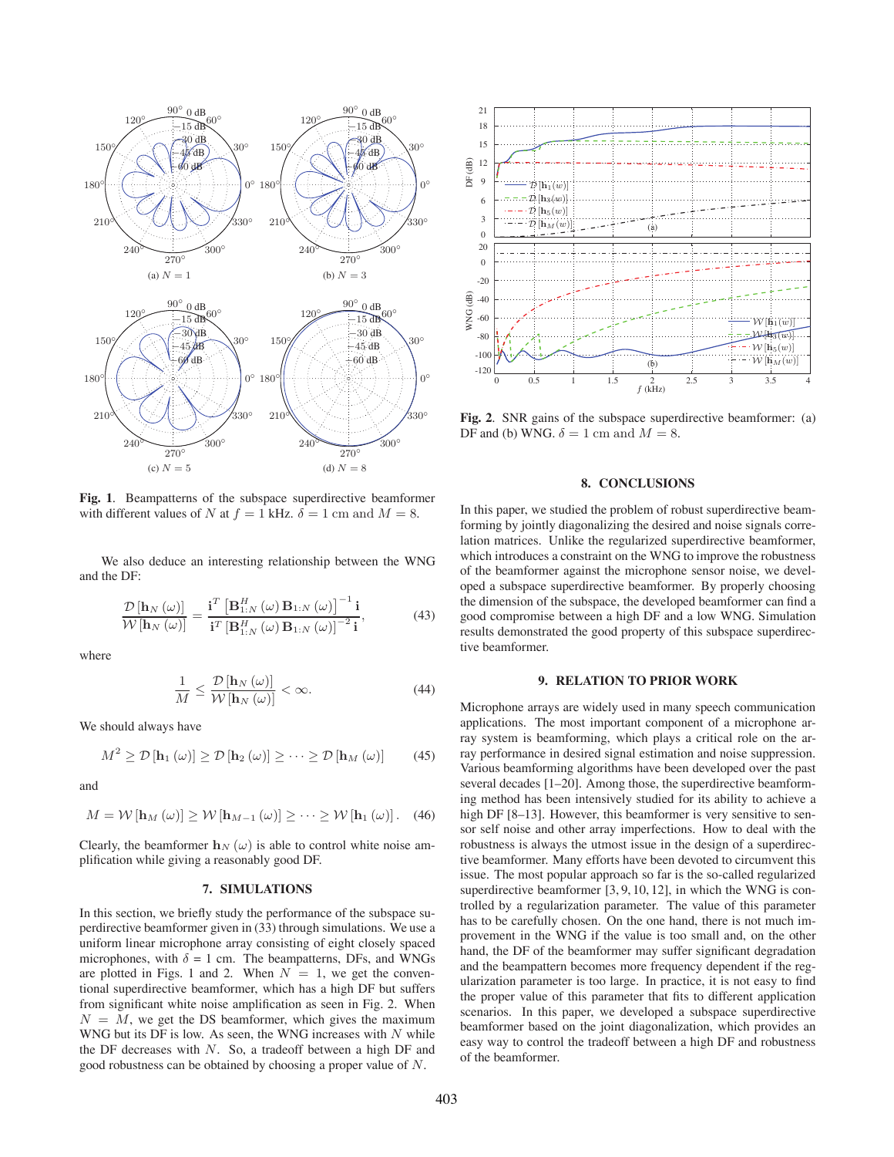

**Fig. 1**. Beampatterns of the subspace superdirective beamformer with different values of N at  $f = 1$  kHz.  $\delta = 1$  cm and  $M = 8$ .

We also deduce an interesting relationship between the WNG and the DF:

$$
\frac{\mathcal{D}\left[\mathbf{h}_{N}\left(\omega\right)\right]}{\mathcal{W}\left[\mathbf{h}_{N}\left(\omega\right)\right]} = \frac{\mathbf{i}^{T}\left[\mathbf{B}_{1:N}^{H}\left(\omega\right)\mathbf{B}_{1:N}\left(\omega\right)\right]^{-1}\mathbf{i}}{\mathbf{i}^{T}\left[\mathbf{B}_{1:N}^{H}\left(\omega\right)\mathbf{B}_{1:N}\left(\omega\right)\right]^{-2}\mathbf{i}},\tag{43}
$$

where

$$
\frac{1}{M} \le \frac{\mathcal{D}\left[\mathbf{h}_{N}\left(\omega\right)\right]}{\mathcal{W}\left[\mathbf{h}_{N}\left(\omega\right)\right]} < \infty. \tag{44}
$$

We should always have

$$
M^{2} \geq \mathcal{D}\left[\mathbf{h}_{1}\left(\omega\right)\right] \geq \mathcal{D}\left[\mathbf{h}_{2}\left(\omega\right)\right] \geq \cdots \geq \mathcal{D}\left[\mathbf{h}_{M}\left(\omega\right)\right] \tag{45}
$$

and

$$
M = \mathcal{W}\left[\mathbf{h}_{M}\left(\omega\right)\right] \ge \mathcal{W}\left[\mathbf{h}_{M-1}\left(\omega\right)\right] \ge \cdots \ge \mathcal{W}\left[\mathbf{h}_{1}\left(\omega\right)\right]. \quad (46)
$$

Clearly, the beamformer  $h_N(\omega)$  is able to control white noise amplification while giving a reasonably good DF.

# **7. SIMULATIONS**

In this section, we briefly study the performance of the subspace superdirective beamformer given in (33) through simulations. We use a uniform linear microphone array consisting of eight closely spaced microphones, with  $\delta = 1$  cm. The beampatterns, DFs, and WNGs are plotted in Figs. 1 and 2. When  $N = 1$ , we get the conventional superdirective beamformer, which has a high DF but suffers from significant white noise amplification as seen in Fig. 2. When  $N = M$ , we get the DS beamformer, which gives the maximum WNG but its DF is low. As seen, the WNG increases with  $N$  while the DF decreases with  $N$ . So, a tradeoff between a high DF and good robustness can be obtained by choosing a proper value of N.



**Fig. 2**. SNR gains of the subspace superdirective beamformer: (a) DF and (b) WNG.  $\delta = 1$  cm and  $M = 8$ .

# **8. CONCLUSIONS**

In this paper, we studied the problem of robust superdirective beamforming by jointly diagonalizing the desired and noise signals correlation matrices. Unlike the regularized superdirective beamformer, which introduces a constraint on the WNG to improve the robustness of the beamformer against the microphone sensor noise, we developed a subspace superdirective beamformer. By properly choosing the dimension of the subspace, the developed beamformer can find a good compromise between a high DF and a low WNG. Simulation results demonstrated the good property of this subspace superdirective beamformer.

# **9. RELATION TO PRIOR WORK**

Microphone arrays are widely used in many speech communication applications. The most important component of a microphone array system is beamforming, which plays a critical role on the array performance in desired signal estimation and noise suppression. Various beamforming algorithms have been developed over the past several decades [1–20]. Among those, the superdirective beamforming method has been intensively studied for its ability to achieve a high DF [8–13]. However, this beamformer is very sensitive to sensor self noise and other array imperfections. How to deal with the robustness is always the utmost issue in the design of a superdirective beamformer. Many efforts have been devoted to circumvent this issue. The most popular approach so far is the so-called regularized superdirective beamformer [3, 9, 10, 12], in which the WNG is controlled by a regularization parameter. The value of this parameter has to be carefully chosen. On the one hand, there is not much improvement in the WNG if the value is too small and, on the other hand, the DF of the beamformer may suffer significant degradation and the beampattern becomes more frequency dependent if the regularization parameter is too large. In practice, it is not easy to find the proper value of this parameter that fits to different application scenarios. In this paper, we developed a subspace superdirective beamformer based on the joint diagonalization, which provides an easy way to control the tradeoff between a high DF and robustness of the beamformer.